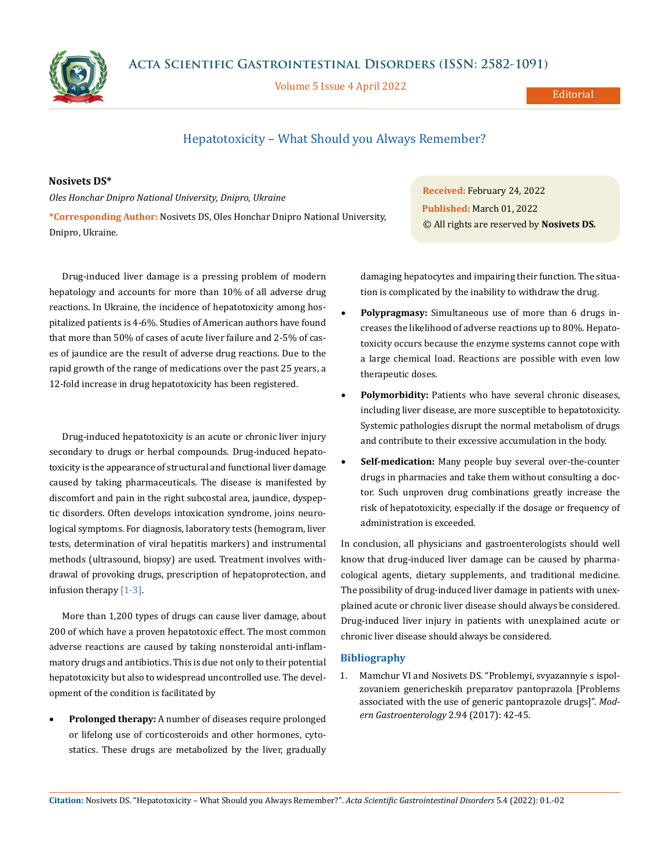**Acta Scientific Gastrointestinal Disorders (ISSN: 2582-1091)**



Volume 5 Issue 4 April 2022

Editorial

# Hepatotoxicity – What Should you Always Remember?

## **Nosivets DS\***

*Oles Honchar Dnipro National University, Dnipro, Ukraine* **\*Corresponding Author:** Nosivets DS, Oles Honchar Dnipro National University, Dnipro, Ukraine.

Drug-induced liver damage is a pressing problem of modern hepatology and accounts for more than 10% of all adverse drug reactions. In Ukraine, the incidence of hepatotoxicity among hospitalized patients is 4-6%. Studies of American authors have found that more than 50% of cases of acute liver failure and 2-5% of cases of jaundice are the result of adverse drug reactions. Due to the rapid growth of the range of medications over the past 25 years, a 12-fold increase in drug hepatotoxicity has been registered.

Drug-induced hepatotoxicity is an acute or chronic liver injury secondary to drugs or herbal compounds. Drug-induced hepatotoxicity is the appearance of structural and functional liver damage caused by taking pharmaceuticals. The disease is manifested by discomfort and pain in the right subcostal area, jaundice, dyspeptic disorders. Often develops intoxication syndrome, joins neurological symptoms. For diagnosis, laboratory tests (hemogram, liver tests, determination of viral hepatitis markers) and instrumental methods (ultrasound, biopsy) are used. Treatment involves withdrawal of provoking drugs, prescription of hepatoprotection, and infusion therapy [1-3].

More than 1,200 types of drugs can cause liver damage, about 200 of which have a proven hepatotoxic effect. The most common adverse reactions are caused by taking nonsteroidal anti-inflammatory drugs and antibiotics. This is due not only to their potential hepatotoxicity but also to widespread uncontrolled use. The development of the condition is facilitated by

**Prolonged therapy:** A number of diseases require prolonged or lifelong use of corticosteroids and other hormones, cytostatics. These drugs are metabolized by the liver, gradually

**Received:** February 24, 2022 **Published:** March 01, 2022 © All rights are reserved by **Nosivets DS***.*

damaging hepatocytes and impairing their function. The situation is complicated by the inability to withdraw the drug.

- Polypragmasy: Simultaneous use of more than 6 drugs increases the likelihood of adverse reactions up to 80%. Hepatotoxicity occurs because the enzyme systems cannot cope with a large chemical load. Reactions are possible with even low therapeutic doses.
- **Polymorbidity:** Patients who have several chronic diseases, including liver disease, are more susceptible to hepatotoxicity. Systemic pathologies disrupt the normal metabolism of drugs and contribute to their excessive accumulation in the body.
- Self-medication: Many people buy several over-the-counter drugs in pharmacies and take them without consulting a doctor. Such unproven drug combinations greatly increase the risk of hepatotoxicity, especially if the dosage or frequency of administration is exceeded.

In conclusion, all physicians and gastroenterologists should well know that drug-induced liver damage can be caused by pharmacological agents, dietary supplements, and traditional medicine. The possibility of drug-induced liver damage in patients with unexplained acute or chronic liver disease should always be considered. Drug-induced liver injury in patients with unexplained acute or chronic liver disease should always be considered.

### **Bibliography**

1. Mamchur VI and Nosivets DS. "Problemyi, svyazannyie s ispolzovaniem genericheskih preparatov pantoprazola [Problems associated with the use of generic pantoprazole drugs]". *Modern Gastroenterology* 2.94 (2017): 42-45.